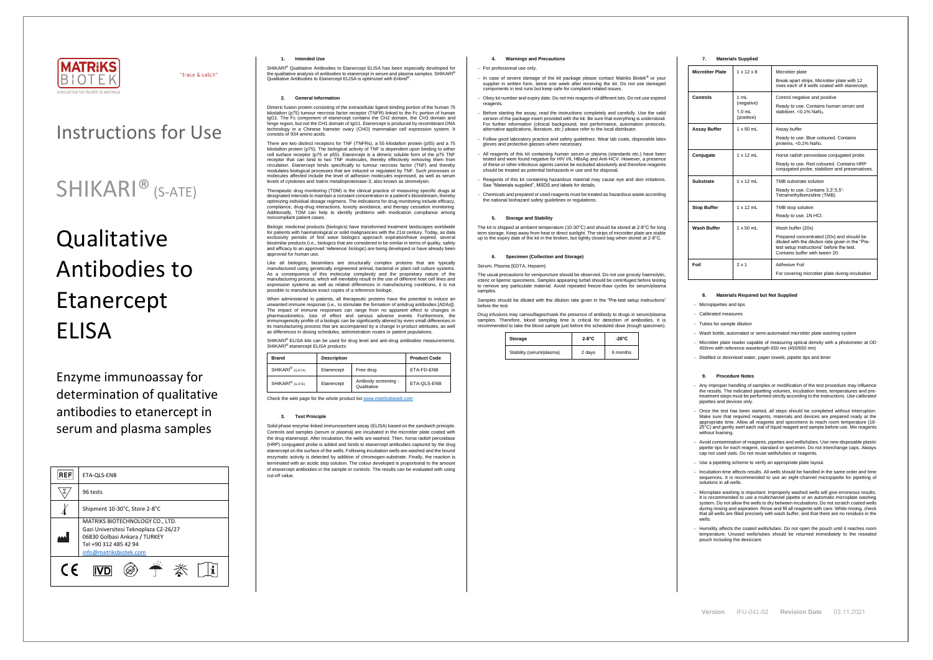

"trace & catch"

**Version** IFU-041-02 **Revision Date** 03.11.2021

# Instructions for Use

# SHIKARI® (S-ATE)

# **Qualitative** Antibodies to Etanercept **FLISA**

Enzyme immunoassay for determination of qualitative antibodies to etanercept in serum and plasma samples

| <b>REF</b> | ETA-QLS-ENB                                                                                                                                                  |  |  |
|------------|--------------------------------------------------------------------------------------------------------------------------------------------------------------|--|--|
|            | 96 tests                                                                                                                                                     |  |  |
|            | Shipment 10-30°C, Store 2-8°C                                                                                                                                |  |  |
|            | MATRIKS BIOTECHNOLOGY CO., LTD.<br>Gazi Universitesi Teknoplaza CZ-26/27<br>06830 Golbasi Ankara / TURKEY<br>Tel +90 312 485 42 94<br>info@matriksbiotek.com |  |  |
|            |                                                                                                                                                              |  |  |

#### **1. Intended Use**

SHIKARI® Qualitative Antibodies to Etanercept ELISA has been especially developed for the qualitative analysis of antibodies to etanercept in serum and plasma samples. SHIKARI® Qualitative Antibodies to Etanercept ELISA is optimized with Enbrel® .

#### **2. General Information**

Dimeric fusion protein consisting of the extracellular ligand-binding portion of the human 75 kilodalton (p75) tumour necrosis factor receptor (TNFR) linked to the Fc portion of human IgG1. The Fc component of etanercept contains the CH2 domain, the CH3 domain and hinge region, but not the CH1 domain of IgG1. Etanercept is produced by recombinant DNA technology in a Chinese hamster ovary (CHO) mammalian cell expression system. It consists of 934 amino acids.

There are two distinct receptors for TNF (TNFRs), a 55 kilodalton protein (p55) and a 75 kilodalton protein (p75). The biological activity of TNF is dependent upon binding to either cell surface receptor (p75 or p55). Etanercept is a dimeric soluble form of the p75 TNF receptor that can bind to two TNF molecules, thereby effectively removing them from circulation. Etanercept binds specifically to tumour necrosis factor (TNF) and thereby modulates biological processes that are induced or regulated by TNF. Such processes or moderate storegies processes that are maded on regalated by Third Stari processes on molecules affected include the level of adhesion molecules expressed, as well as serum levels of cytokines and matrix metalloproteinase-3, also known as stromelysin.

When administered to patients, all therapeutic proteins have the potential to induce an unwanted immune response (i.e., to stimulate the formation of antidrug antibodies [ADAs]). The impact of immune responses can range from no apparent effect to changes in pharmacokinetics, loss of effect and serious adverse events. Furthermore, the immunogenicity profile of a biologic can be significantly altered by even small differences in its manufacturing process that are accompanied by a change in product attributes, as well as differences in dosing schedules, administration routes or patient populations.

SHIKARI® ELISA kits can be used for drug level and anti-drug antibodies measurements SHIKARI<sup>®</sup> etanercept ELISA products:

Therapeutic drug monitoring (TDM) is the clinical practice of measuring specific drugs at designated intervals to maintain a constant concentration in a patient's bloodstream, thereby optimizing individual dosage regimens. The indications for drug monitoring include efficacy, compliance, drug-drug interactions, toxicity avoidance, and therapy cessation monitoring. Additionally, TDM can help to identify problems with medication compliance among noncompliant patient cases.

Biologic medicinal products (biologics) have transformed treatment landscapes worldwide for patients with haematological or solid malignancies with the 21st century. Today, as data exclusivity periods of first wave biologics approach expiration/have expired, several biosimilar products (i.e., biologics that are considered to be similar in terms of quality, safety and efficacy to an approved 'reference' biologic) are being developed or have already been approved for human use.

Like all biologics, biosimilars are structurally complex proteins that are typically manufactured using genetically engineered animal, bacterial or plant cell culture systems. As a consequence of this molecular complexity and the proprietary nature of the manufacturing process, which will inevitably result in the use of different host cell lines and manufacturing process, which will inevitably result in the use of different host cell lines and expression systems as well as related differences in manufacturing conditions, it is not possible to manufacture exact copies of a reference biologic.

The usual precautions for venipuncture should be observed. Do not use grossly haemolytic, icteric or lipemic specimens. Samples appearing turbid should be centrifuged before testing to remove any particulate material. Avoid repeated freeze-thaw cycles for serum/plasma samples

| <b>Brand</b>                 | <b>Description</b> |                                     | <b>Product Code</b> |
|------------------------------|--------------------|-------------------------------------|---------------------|
| SHIKARI <sup>®</sup> (Q-ETA) | Etanercept         | Free drug                           | ETA-FD-ENB          |
| SHIKARI <sup>®</sup> (S-ATE) | Etanercept         | Antibody screening -<br>Qualitative | ETA-QLS-ENB         |

Check the web page for the whole product lis[t www.matriksbiotek.com](http://www.matriksbiotek.com/)

#### **3. Test Principle**

− Once the test has been started, all steps should be completed without interruption. Make sure that required reagents, materials and devices are prepared ready at the appropriate time. Allow all reagents and specimens to reach room temperature (18- 25°C) and gently swirl each vial of liquid reagent and sample before use. Mix reagents without foaming

Solid phase enzyme-linked immunosorbent assay (ELISA) based on the sandwich principle. Controls and samples (serum or plasma) are incubated in the microtiter plate coated with the drug etanercept. After incubation, the wells are washed. Then, horse radish peroxidase (HRP) conjugated probe is added and binds to etanercept antibodies captured by the drug etanercept on the surface of the wells. Following incubation wells are washed and the bound enzymatic activity is detected by addition of chromogen-substrate. Finally, the reaction is terminated with an acidic stop solution. The colour developed is proportional to the amount of etanercept antibodies in the sample or controls. The results can be evaluated with using cut-off value.

# **4. Warnings and Precautions**

#### − For professional use only.

- − In case of severe damage of the kit package please contact Matriks Biotek® or your supplier in written form, latest one week after receiving the kit. Do not use damaged components in test runs but keep safe for complaint related issues.
- − Obey lot number and expiry date. Do not mix reagents of different lots. Do not use expired reagents
- Before starting the assay, read the instructions completely and carefully. Use the valid version of the package insert provided with the kit. Be sure that everything is understood. For further information (clinical background, test performance, automation protocols, alternative applications, literature, etc.) please refer to the local distributor.
- − Follow good laboratory practice and safety guidelines. Wear lab coats, disposable latex gloves and protective glasses where necessary.
- All reagents of this kit containing human serum or plasma (standards etc.) have been tested and were found negative for HIV I/II, HBsAg and Anti-HCV. However, a presence of these or other infectious agents cannot be excluded absolutely and therefore reagents should be treated as potential biohazards in use and for disposal.
- − Reagents of this kit containing hazardous material may cause eye and skin irritations. See "Materials supplied", MSDS and labels for details.
- − Chemicals and prepared or used reagents must be treated as hazardous waste according the national biohazard safety guidelines or regulations.

# **5. Storage and Stability**

The kit is shipped at ambient temperature (10-30°C) and should be stored at 2-8°C for long m storage. Keep away from heat or direct sunlight. The strips of microtiter plate are stal up to the expiry date of the kit in the broken, but tightly closed bag when stored at 2-8°C.

#### **6. Specimen (Collection and Storage)**

#### Serum, Plasma (EDTA, Heparin)

Samples should be diluted with the dilution rate given in the "Pre-test setup instructions" before the test.

Drug infusions may camouflages/mask the presence of antibody to drugs in serum/plasma samples. Therefore, blood sampling time is critical for detection of antibodies. It is recommended to take the blood sample just before the scheduled dose (trough specimen).

| Storage                  | $2-8$ °C | $-20^{\circ}$ C |
|--------------------------|----------|-----------------|
| Stability (serum/plasma) | 2 days   | 6 months        |

# **7. Materials Supplied**

| <b>Microtiter Plate</b> | $1 \times 12 \times 8$                       | Microtiter plate<br>Break apart strips. Microtiter plate with 12<br>rows each of 8 wells coated with etanercept.                                                                                  |
|-------------------------|----------------------------------------------|---------------------------------------------------------------------------------------------------------------------------------------------------------------------------------------------------|
| Controls                | 1 mL<br>(negative)<br>$1.0$ mL<br>(positive) | Control negative and positive<br>Ready to use. Contains human serum and<br>stabilizer, < $0.1\%$ NaN <sub>3</sub> .                                                                               |
| <b>Assay Buffer</b>     | $1 \times 50$ mL                             | Assay buffer<br>Ready to use. Blue coloured. Contains<br>proteins, <0,1% NaN <sub>3</sub> .                                                                                                       |
| Conjugate               | $1 \times 12$ mL                             | Horse radish peroxidase conjugated probe<br>Ready to use. Red coloured. Contains HRP<br>conjugated probe, stabilizer and preservatives.                                                           |
| Substrate               | $1 \times 12$ ml                             | TMB substrate solution<br>Ready to use. Contains 3,3',5,5'-<br>Tetramethylbenzidine (TMB).                                                                                                        |
| <b>Stop Buffer</b>      | $1 \times 12$ mL                             | TMB stop solution<br>Ready to use. 1N HCI.                                                                                                                                                        |
| <b>Wash Buffer</b>      | $1 \times 50$ mL                             | Wash buffer (20x)<br>Prepared concentrated (20x) and should be<br>diluted with the dilution rate given in the "Pre-<br>test setup instructions" before the test.<br>Contains buffer with tween 20 |
| Foil                    | $2 \times 1$                                 | Adhesive Foil<br>For covering microtiter plate during incubation                                                                                                                                  |

# **8. Materials Required but Not Supplied**

− Micropipettes and tips

− Calibrated measures

− Tubes for sample dilution

− Wash bottle, automated or semi-automated microtiter plate washing system

− Microtiter plate reader capable of measuring optical density with a photometer at OD 450nm with reference wavelength 650 nm (450/650 nm)

− Distilled or deionised water, paper towels, pipette tips and timer

#### **9. Procedure Notes**

− Any improper handling of samples or modification of the test procedure may influence the results. The indicated pipetting volumes, incubation times, temperatures and pre-treatment steps must be performed strictly according to the instructions. Use calibrated pipettes and devices only.

− Avoid contamination of reagents, pipettes and wells/tubes. Use new disposable plastic pipette tips for each reagent, standard or specimen. Do not interchange caps. Always cap not used vials. Do not reuse wells/tubes or reagents.

− Use a pipetting scheme to verify an appropriate plate layout.

− Incubation time affects results. All wells should be handled in the same order and time sequences. It is recommended to use an eight-channel micropipette for pipetting of solutions in all wells.

− Microplate washing is important. Improperly washed wells will give erroneous results. It is recommended to use a multichannel pipette or an automatic microplate washing system. Do not allow the wells to dry between incubations. Do not scratch coated wells during rinsing and aspiration. Rinse and fill all reagents with care. While rinsing, check that all wells are filled precisely with wash buffer, and that there are no residues in the wells.

− Humidity affects the coated wells/tubes. Do not open the pouch until it reaches room temperature. Unused wells/tubes should be returned immediately to the resealed pouch including the desiccant.